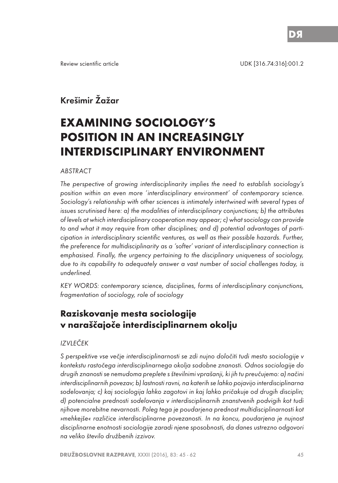Review scientific article UDK [316.74:316]:001.2

## Krešimir Žažar

# **EXAMINING SOCIOLOGY'S POSITION IN AN INCREASINGLY INTERDISCIPLINARY ENVIRONMENT**

#### **ABSTRACT**

The perspective of growing interdisciplinarity implies the need to establish sociology's position within an even more 'interdisciplinary environment' of contemporary science. Sociology's relationship with other sciences is intimately intertwined with several types of issues scrutinised here: a) the modalities of interdisciplinary conjunctions; b) the attributes of levels at which interdisciplinary cooperation may appear; c) what sociology can provide to and what it may require from other disciplines; and d) potential advantages of participation in interdisciplinary scientific ventures, as well as their possible hazards. Further, the preference for multidisciplinarity as a 'softer' variant of interdisciplinary connection is emphasised. Finally, the urgency pertaining to the disciplinary uniqueness of sociology, due to its capability to adequately answer a vast number of social challenges today, is underlined.

KEY WORDS: contemporary science, disciplines, forms of interdisciplinary conjunctions, fragmentation of sociology, role of sociology

## **Raziskovanje mesta sociologije v naraščajoče interdisciplinarnem okolju**

## IZVLEČEK

S perspektive vse večje interdisciplinarnosti se zdi nujno določiti tudi mesto sociologije v kontekstu rastočega interdisciplinarnega okolja sodobne znanosti. Odnos sociologije do drugih znanosti se nemudoma preplete s številnimi vprašanji, ki jih tu preučujemo: a) načini interdisciplinarnih povezav; b) lastnosti ravni, na katerih se lahko pojavijo interdisciplinarna sodelovanja; c) kaj sociologija lahko zagotovi in kaj lahko pričakuje od drugih disciplin; d) potencialne prednosti sodelovanja v interdisciplinarnih znanstvenih podvigih kot tudi njihove morebitne nevarnosti. Poleg tega je poudarjena prednost multidisciplinarnosti kot »mehkejše« različice interdisciplinarne povezanosti. In na koncu, poudarjena je nujnost disciplinarne enotnosti sociologije zaradi njene sposobnosti, da danes ustrezno odgovori na veliko število družbenih izzivov.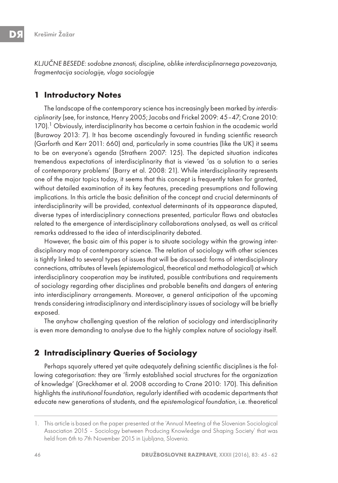KLJUČNE BESEDE: sodobne znanosti, discipline, oblike interdisciplinarnega povezovanja, fragmentacija sociologije, vloga sociologije

## **1 Introductory Notes**

The landscape of the contemporary science has increasingly been marked by interdisciplinarity (see, for instance, Henry 2005; Jacobs and Frickel 2009: 45–47; Crane 2010: 170). $^1$  Obviously, interdisciplinarity has become a certain fashion in the academic world (Burawoy 2013: 7). It has become ascendingly favoured in funding scientific research (Garforth and Kerr 2011: 660) and, particularly in some countries (like the UK) it seems to be on everyone's agenda (Strathern 2007: 125). The depicted situation indicates tremendous expectations of interdisciplinarity that is viewed 'as a solution to a series of contemporary problems' (Barry et al. 2008: 21). While interdisciplinarity represents one of the major topics today, it seems that this concept is frequently taken for granted, without detailed examination of its key features, preceding presumptions and following implications. In this article the basic definition of the concept and crucial determinants of interdisciplinarity will be provided, contextual determinants of its appearance disputed, diverse types of interdisciplinary connections presented, particular flaws and obstacles related to the emergence of interdisciplinary collaborations analysed, as well as critical remarks addressed to the idea of interdisciplinarity debated.

However, the basic aim of this paper is to situate sociology within the growing interdisciplinary map of contemporary science. The relation of sociology with other sciences is tightly linked to several types of issues that will be discussed: forms of interdisciplinary connections, attributes of levels (epistemological, theoretical and methodological) at which interdisciplinary cooperation may be instituted, possible contributions and requirements of sociology regarding other disciplines and probable benefits and dangers of entering into interdisciplinary arrangements. Moreover, a general anticipation of the upcoming trends considering intradisciplinary and interdisciplinary issues of sociology will be briefly exposed.

The anyhow challenging question of the relation of sociology and interdisciplinarity is even more demanding to analyse due to the highly complex nature of sociology itself.

## **2 Intradisciplinary Queries of Sociology**

Perhaps squarely uttered yet quite adequately defining scientific disciplines is the following categorisation: they are 'firmly established social structures for the organization of knowledge' (Greckhamer et al. 2008 according to Crane 2010: 170). This definition highlights the institutional foundation, regularly identified with academic departments that educate new generations of students, and the epistemological foundation, i.e. theoretical

<sup>1.</sup> This article is based on the paper presented at the 'Annual Meeting of the Slovenian Sociological Association 2015 – Sociology between Producing Knowledge and Shaping Society' that was held from 6th to 7th November 2015 in Ljubljana, Slovenia.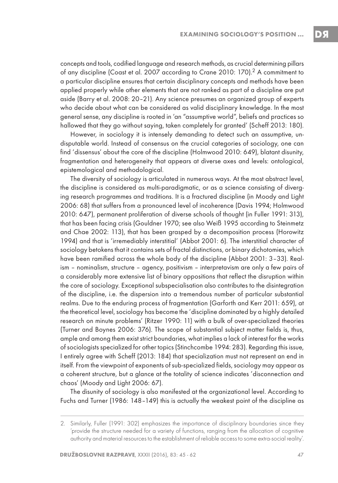concepts and tools, codified language and research methods, as crucial determining pillars of any discipline (Coast et al. 2007 according to Crane 2010: 170).<sup>2</sup> A commitment to a particular discipline ensures that certain disciplinary concepts and methods have been applied properly while other elements that are not ranked as part of a discipline are put aside (Barry et al. 2008: 20–21). Any science presumes an organized group of experts who decide about what can be considered as valid disciplinary knowledge. In the most general sense, any discipline is rooted in 'an "assumptive world", beliefs and practices so hallowed that they go without saying, taken completely for granted' (Scheff 2013: 180).

However, in sociology it is intensely demanding to detect such an assumptive, undisputable world. Instead of consensus on the crucial categories of sociology, one can find 'dissensus' about the core of the discipline (Holmwood 2010: 649), blatant disunity, fragmentation and heterogeneity that appears at diverse axes and levels: ontological, epistemological and methodological.

The diversity of sociology is articulated in numerous ways. At the most abstract level, the discipline is considered as multi-paradigmatic, or as a science consisting of diverging research programmes and traditions. It is a fractured discipline (in Moody and Light 2006: 68) that suffers from a pronounced level of incoherence (Davis 1994; Holmwood 2010: 647), permanent proliferation of diverse schools of thought (in Fuller 1991: 313), that has been facing crisis (Gouldner 1970; see also Weiß 1995 according to Steinmetz and Chae 2002: 113), that has been grasped by a decomposition process (Horowitz 1994) and that is 'irremediably interstitial' (Abbot 2001: 6). The interstitial character of sociology betokens that it contains sets of fractal distinctions, or binary dichotomies, which have been ramified across the whole body of the discipline (Abbot 2001: 3–33). Realism – nominalism, structure – agency, positivism – interpretavism are only a few pairs of a considerably more extensive list of binary oppositions that reflect the disruption within the core of sociology. Exceptional subspecialisation also contributes to the disintegration of the discipline, i.e. the dispersion into a tremendous number of particular substantial realms. Due to the enduring process of fragmentation (Garforth and Kerr 2011: 659), at the theoretical level, sociology has become the 'discipline dominated by a highly detailed research on minute problems' (Ritzer 1990: 11) with a bulk of over-specialized theories (Turner and Boynes 2006: 376). The scope of substantial subject matter fields is, thus, ample and among them exist strict boundaries, what implies a lack of interest for the works of sociologists specialized for other topics (Stinchcombe 1994: 283). Regarding this issue, I entirely agree with Scheff (2013: 184) that specialization must not represent an end in itself. From the viewpoint of exponents of sub-specialized fields, sociology may appear as a coherent structure, but a glance at the totality of science indicates 'disconnection and chaos' (Moody and Light 2006: 67).

The disunity of sociology is also manifested at the organizational level. According to Fuchs and Turner (1986: 148–149) this is actually the weakest point of the discipline as

<sup>2.</sup> Similarly, Fuller (1991: 302) emphasizes the importance of disciplinary boundaries since they 'provide the structure needed for a variety of functions, ranging from the allocation of cognitive authority and material resources to the establishment of reliable access to some extra-social reality'.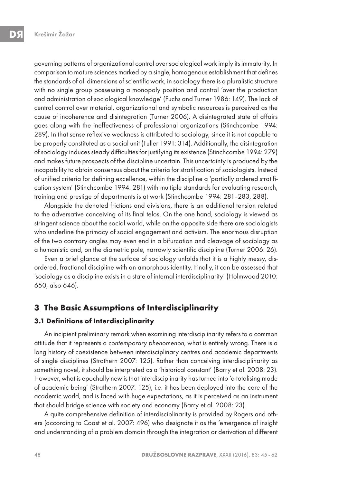governing patterns of organizational control over sociological work imply its immaturity. In comparison to mature sciences marked by a single, homogenous establishment that defines the standards of all dimensions of scientific work, in sociology there is a pluralistic structure with no single group possessing a monopoly position and control 'over the production and administration of sociological knowledge' (Fuchs and Turner 1986: 149). The lack of central control over material, organizational and symbolic resources is perceived as the cause of incoherence and disintegration (Turner 2006). A disintegrated state of affairs goes along with the ineffectiveness of professional organizations (Stinchcombe 1994: 289). In that sense reflexive weakness is attributed to sociology, since it is not capable to be properly constituted as a social unit (Fuller 1991: 314). Additionally, the disintegration of sociology induces steady difficulties for justifying its existence (Stinchcombe 1994: 279) and makes future prospects of the discipline uncertain. This uncertainty is produced by the incapability to obtain consensus about the criteria for stratification of sociologists. Instead of unified criteria for defining excellence, within the discipline a 'partially ordered stratification system' (Stinchcombe 1994: 281) with multiple standards for evaluating research, training and prestige of departments is at work (Stinchcombe 1994: 281–283, 288).

Alongside the denoted frictions and divisions, there is an additional tension related to the adversative conceiving of its final telos. On the one hand, sociology is viewed as stringent science about the social world, while on the opposite side there are sociologists who underline the primacy of social engagement and activism. The enormous disruption of the two contrary angles may even end in a bifurcation and cleavage of sociology as a humanistic and, on the diametric pole, narrowly scientific discipline (Turner 2006: 26).

Even a brief glance at the surface of sociology unfolds that it is a highly messy, disordered, fractional discipline with an amorphous identity. Finally, it can be assessed that 'sociology as a discipline exists in a state of internal interdisciplinarity' (Holmwood 2010: 650, also 646).

## **3 The Basic Assumptions of Interdisciplinarity**

## **3.1 Definitions of Interdisciplinarity**

An incipient preliminary remark when examining interdisciplinarity refers to a common attitude that it represents a contemporary phenomenon, what is entirely wrong. There is a long history of coexistence between interdisciplinary centres and academic departments of single disciplines (Strathern 2007: 125). Rather than conceiving interdisciplinarity as something novel, it should be interpreted as a 'historical constant' (Barry et al. 2008: 23). However, what is epochally new is that interdisciplinarity has turned into 'a totalising mode of academic being' (Strathern 2007: 125), i.e. it has been deployed into the core of the academic world, and is faced with huge expectations, as it is perceived as an instrument that should bridge science with society and economy (Barry et al. 2008: 23).

A quite comprehensive definition of interdisciplinarity is provided by Rogers and others (according to Coast et al. 2007: 496) who designate it as the 'emergence of insight and understanding of a problem domain through the integration or derivation of different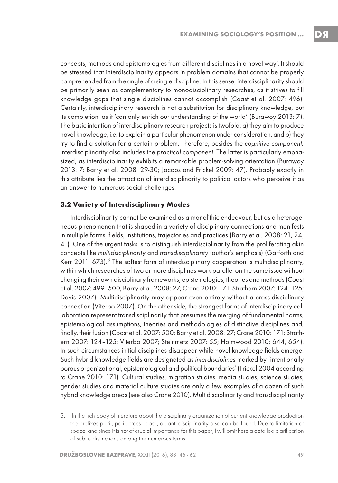concepts, methods and epistemologies from different disciplines in a novel way'. It should be stressed that interdisciplinarity appears in problem domains that cannot be properly comprehended from the angle of a single discipline. In this sense, interdisciplinarity should be primarily seen as complementary to monodisciplinary researches, as it strives to fill knowledge gaps that single disciplines cannot accomplish (Coast et al. 2007: 496). Certainly, interdisciplinary research is not a substitution for disciplinary knowledge, but its completion, as it 'can only enrich our understanding of the world' (Burawoy 2013: 7). The basic intention of interdisciplinary research projects is twofold: a) they aim to produce novel knowledge, i.e. to explain a particular phenomenon under consideration, and b) they try to find a solution for a certain problem. Therefore, besides the cognitive component, interdisciplinarity also includes the practical component. The latter is particularly emphasized, as interdisciplinarity exhibits a remarkable problem-solving orientation (Burawoy 2013: 7; Barry et al. 2008: 29-30; Jacobs and Frickel 2009: 47). Probably exactly in this attribute lies the attraction of interdisciplinarity to political actors who perceive it as an answer to numerous social challenges.

#### **3.2 Variety of Interdisciplinary Modes**

Interdisciplinarity cannot be examined as a monolithic endeavour, but as a heterogeneous phenomenon that is shaped in a variety of disciplinary connections and manifests in multiple forms, fields, institutions, trajectories and practices (Barry et al. 2008: 21, 24, 41). One of the urgent tasks is to distinguish interdisciplinarity from the proliferating akin concepts like multidisciplinarity and transdisciplinarity (author's emphasis) (Garforth and Kerr 2011: 673).<sup>3</sup> The softest form of interdisciplinary cooperation is multidisciplinarity, within which researches of two or more disciplines work parallel on the same issue without changing their own disciplinary frameworks, epistemologies, theories and methods (Coast et al. 2007: 499–500; Barry et al. 2008: 27; Crane 2010: 171; Strathern 2007: 124–125; Davis 2007). Multidisciplinarity may appear even entirely without a cross-disciplinary connection (Viterbo 2007). On the other side, the strongest forms of interdisciplinary collaboration represent transdisciplinarity that presumes the merging of fundamental norms, epistemological assumptions, theories and methodologies of distinctive disciplines and, finally, their fusion (Coast et al. 2007: 500; Barry et al. 2008: 27; Crane 2010: 171; Strathern 2007: 124–125; Viterbo 2007; Steinmetz 2007: 55; Holmwood 2010: 644, 654). In such circumstances initial disciplines disappear while novel knowledge fields emerge. Such hybrid knowledge fields are designated as interdisciplines marked by 'intentionally porous organizational, epistemological and political boundaries' (Frickel 2004 according to Crane 2010: 171). Cultural studies, migration studies, media studies, science studies, gender studies and material culture studies are only a few examples of a dozen of such hybrid knowledge areas (see also Crane 2010). Multidisciplinarity and transdisciplinarity

<sup>3.</sup>  In the rich body of literature about the disciplinary organization of current knowledge production the prefixes pluri-, poli-, cross-, post-, a-, anti-disciplinarity also can be found. Due to limitation of space, and since it is not of crucial importance for this paper, I will omit here a detailed clarification of subtle distinctions among the numerous terms.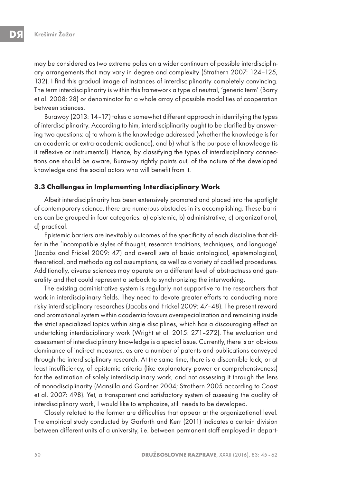may be considered as two extreme poles on a wider continuum of possible interdisciplinary arrangements that may vary in degree and complexity (Strathern 2007: 124–125, 132). I find this gradual image of instances of interdisciplinarity completely convincing. The term interdisciplinarity is within this framework a type of neutral, 'generic term' (Barry et al. 2008: 28) or denominator for a whole array of possible modalities of cooperation between sciences.

Burawoy (2013: 14–17) takes a somewhat different approach in identifying the types of interdisciplinarity. According to him, interdisciplinarity ought to be clarified by answering two questions: a) to whom is the knowledge addressed (whether the knowledge is for an academic or extra-academic audience), and b) what is the purpose of knowledge (is it reflexive or instrumental). Hence, by classifying the types of interdisciplinary connections one should be aware, Burawoy rightly points out, of the nature of the developed knowledge and the social actors who will benefit from it.

#### **3.3 Challenges in Implementing Interdisciplinary Work**

Albeit interdisciplinarity has been extensively promoted and placed into the spotlight of contemporary science, there are numerous obstacles in its accomplishing. These barriers can be grouped in four categories: a) epistemic, b) administrative, c) organizational, d) practical.

Epistemic barriers are inevitably outcomes of the specificity of each discipline that differ in the 'incompatible styles of thought, research traditions, techniques, and language' (Jacobs and Frickel 2009: 47) and overall sets of basic ontological, epistemological, theoretical, and methodological assumptions, as well as a variety of codified procedures. Additionally, diverse sciences may operate on a different level of abstractness and generality and that could represent a setback to synchronizing the interworking.

The existing administrative system is regularly not supportive to the researchers that work in interdisciplinary fields. They need to devote greater efforts to conducting more risky interdisciplinary researches (Jacobs and Frickel 2009: 47–48). The present reward and promotional system within academia favours overspecialization and remaining inside the strict specialized topics within single disciplines, which has a discouraging effect on undertaking interdisciplinary work (Wright et al. 2015: 271–272). The evaluation and assessment of interdisciplinary knowledge is a special issue. Currently, there is an obvious dominance of indirect measures, as are a number of patents and publications conveyed through the interdisciplinary research. At the same time, there is a discernible lack, or at least insufficiency, of epistemic criteria (like explanatory power or comprehensiveness) for the estimation of solely interdisciplinary work, and not assessing it through the lens of monodisciplinarity (Mansilla and Gardner 2004; Strathern 2005 according to Coast et al. 2007: 498). Yet, a transparent and satisfactory system of assessing the quality of interdisciplinary work, I would like to emphasize, still needs to be developed.

Closely related to the former are difficulties that appear at the organizational level. The empirical study conducted by Garforth and Kerr (2011) indicates a certain division between different units of a university, i.e. between permanent staff employed in depart-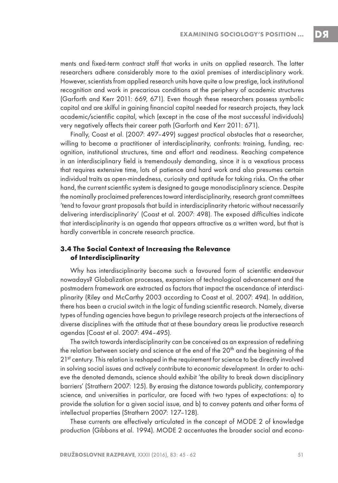DS

ments and fixed-term contract staff that works in units on applied research. The latter researchers adhere considerably more to the axial premises of interdisciplinary work. However, scientists from applied research units have quite a low prestige, lack institutional recognition and work in precarious conditions at the periphery of academic structures (Garforth and Kerr 2011: 669, 671). Even though these researchers possess symbolic capital and are skilful in gaining financial capital needed for research projects, they lack academic/scientific capital, which (except in the case of the most successful individuals) very negatively affects their career path (Garforth and Kerr 2011: 671).

Finally, Coast et al. (2007: 497–499) suggest practical obstacles that a researcher, willing to become a practitioner of interdisciplinarity, confronts: training, funding, recognition, institutional structures, time and effort and readiness. Reaching competence in an interdisciplinary field is tremendously demanding, since it is a vexatious process that requires extensive time, lots of patience and hard work and also presumes certain individual traits as open-mindedness, curiosity and aptitude for taking risks. On the other hand, the current scientific system is designed to gauge monodisciplinary science. Despite the nominally proclaimed preferences toward interdisciplinarity, research grant committees 'tend to favour grant proposals that build in interdisciplinarity rhetoric without necessarily delivering interdisciplinarity' (Coast et al. 2007: 498). The exposed difficulties indicate that interdisciplinarity is an agenda that appears attractive as a written word, but that is hardly convertible in concrete research practice.

## **3.4 The Social Context of Increasing the Relevance of Interdisciplinarity**

Why has interdisciplinarity become such a favoured form of scientific endeavour nowadays? Globalization processes, expansion of technological advancement and the postmodern framework are extracted as factors that impact the ascendance of interdisciplinarity (Riley and McCarthy 2003 according to Coast et al. 2007: 494). In addition, there has been a crucial switch in the logic of funding scientific research. Namely, diverse types of funding agencies have begun to privilege research projects at the intersections of diverse disciplines with the attitude that at these boundary areas lie productive research agendas (Coast et al. 2007: 494–495).

The switch towards interdisciplinarity can be conceived as an expression of redefining the relation between society and science at the end of the 20<sup>th</sup> and the beginning of the 21st century. This relation is reshaped in the requirement for science to be directly involved in solving social issues and actively contribute to economic development. In order to achieve the denoted demands, science should exhibit 'the ability to break down disciplinary barriers' (Strathern 2007: 125). By erasing the distance towards publicity, contemporary science, and universities in particular, are faced with two types of expectations: a) to provide the solution for a given social issue, and b) to convey patents and other forms of intellectual properties (Strathern 2007: 127–128).

These currents are effectively articulated in the concept of MODE 2 of knowledge production (Gibbons et al. 1994). MODE 2 accentuates the broader social and econo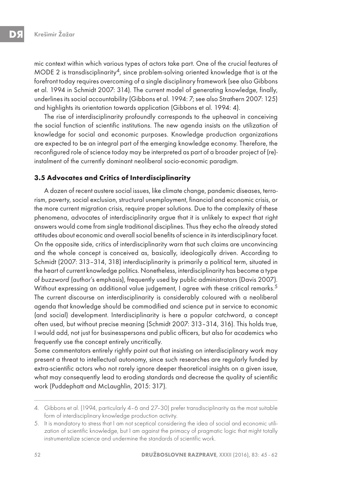mic context within which various types of actors take part. One of the crucial features of MODE 2 is transdisciplinarity<sup>4</sup>, since problem-solving oriented knowledge that is at the forefront today requires overcoming of a single disciplinary framework (see also Gibbons et al. 1994 in Schmidt 2007: 314). The current model of generating knowledge, finally, underlines its social accountability (Gibbons et al. 1994: 7; see also Strathern 2007: 125) and highlights its orientation towards application (Gibbons et al. 1994: 4).

The rise of interdisciplinarity profoundly corresponds to the upheaval in conceiving the social function of scientific institutions. The new agenda insists on the utilization of knowledge for social and economic purposes. Knowledge production organizations are expected to be an integral part of the emerging knowledge economy. Therefore, the reconfigured role of science today may be interpreted as part of a broader project of (re) instalment of the currently dominant neoliberal socio-economic paradigm.

#### **3.5 Advocates and Critics of Interdisciplinarity**

A dozen of recent austere social issues, like climate change, pandemic diseases, terrorism, poverty, social exclusion, structural unemployment, financial and economic crisis, or the more current migration crisis, require proper solutions. Due to the complexity of these phenomena, advocates of interdisciplinarity argue that it is unlikely to expect that right answers would come from single traditional disciplines. Thus they echo the already stated attitudes about economic and overall social benefits of science in its interdisciplinary facet. On the opposite side, critics of interdisciplinarity warn that such claims are unconvincing and the whole concept is conceived as, basically, ideologically driven. According to Schmidt (2007: 313–314, 318) interdisciplinarity is primarily a political term, situated in the heart of current knowledge politics. Nonetheless, interdisciplinarity has become a type of buzzword (author's emphasis), frequently used by public administrators (Davis 2007). Without expressing an additional value judgement, I agree with these critical remarks.<sup>5</sup> The current discourse on interdisciplinarity is considerably coloured with a neoliberal agenda that knowledge should be commodified and science put in service to economic (and social) development. Interdisciplinarity is here a popular catchword, a concept often used, but without precise meaning (Schmidt 2007: 313–314, 316). This holds true, I would add, not just for businesspersons and public officers, but also for academics who frequently use the concept entirely uncritically.

Some commentators entirely rightly point out that insisting on interdisciplinary work may present a threat to intellectual autonomy, since such researches are regularly funded by extra-scientific actors who not rarely ignore deeper theoretical insights on a given issue, what may consequently lead to eroding standards and decrease the quality of scientific work (Puddephatt and McLaughlin, 2015: 317).

<sup>4.</sup> Gibbons et al. (1994, particularly 4-6 and 27-30) prefer transdisciplinarity as the most suitable form of interdisciplinary knowledge production activity.

<sup>5.</sup> It is mandatory to stress that I am not sceptical considering the idea of social and economic utilization of scientific knowledge, but I am against the primacy of pragmatic logic that might totally instrumentalize science and undermine the standards of scientific work.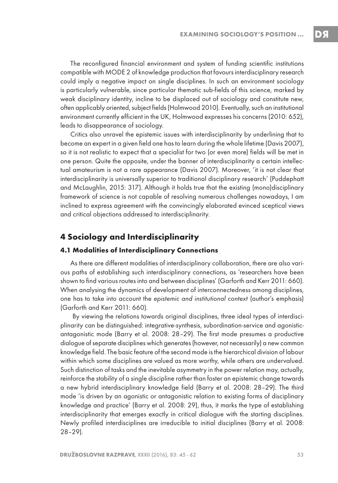DЯ

The reconfigured financial environment and system of funding scientific institutions compatible with MODE 2 of knowledge production that favours interdisciplinary research could imply a negative impact on single disciplines. In such an environment sociology is particularly vulnerable, since particular thematic sub-fields of this science, marked by weak disciplinary identity, incline to be displaced out of sociology and constitute new, often applicably oriented, subject fields (Holmwood 2010). Eventually, such an institutional environment currently efficient in the UK, Holmwood expresses his concerns (2010: 652), leads to disappearance of sociology.

Critics also unravel the epistemic issues with interdisciplinarity by underlining that to become an expert in a given field one has to learn during the whole lifetime (Davis 2007), so it is not realistic to expect that a specialist for two (or even more) fields will be met in one person. Quite the opposite, under the banner of interdisciplinarity a certain intellectual amateurism is not a rare appearance (Davis 2007). Moreover, 'it is not clear that interdisciplinarity is universally superior to traditional disciplinary research' (Puddephatt and McLaughlin, 2015: 317). Although it holds true that the existing (mono)disciplinary framework of science is not capable of resolving numerous challenges nowadays, I am inclined to express agreement with the convincingly elaborated evinced sceptical views and critical objections addressed to interdisciplinarity.

### **4 Sociology and Interdisciplinarity**

#### **4.1 Modalities of Interdisciplinary Connections**

As there are different modalities of interdisciplinary collaboration, there are also various paths of establishing such interdisciplinary connections, as 'researchers have been shown to find various routes into and between disciplines' (Garforth and Kerr 2011: 660). When analysing the dynamics of development of interconnectedness among disciplines, one has to take into account the epistemic and institutional context (author's emphasis) (Garforth and Kerr 2011: 660).

 By viewing the relations towards original disciplines, three ideal types of interdisciplinarity can be distinguished: integrative-synthesis, subordination-service and agonisticantagonistic mode (Barry et al. 2008: 28–29). The first mode presumes a productive dialogue of separate disciplines which generates (however, not necessarily) a new common knowledge field. The basic feature of the second mode is the hierarchical division of labour within which some disciplines are valued as more worthy, while others are undervalued. Such distinction of tasks and the inevitable asymmetry in the power relation may, actually, reinforce the stability of a single discipline rather than foster an epistemic change towards a new hybrid interdisciplinary knowledge field (Barry et al. 2008: 28–29). The third mode 'is driven by an agonistic or antagonistic relation to existing forms of disciplinary knowledge and practice' (Barry et al. 2008: 29), thus, it marks the type of establishing interdisciplinarity that emerges exactly in critical dialogue with the starting disciplines. Newly profiled interdisciplines are irreducible to initial disciplines (Barry et al. 2008: 28–29).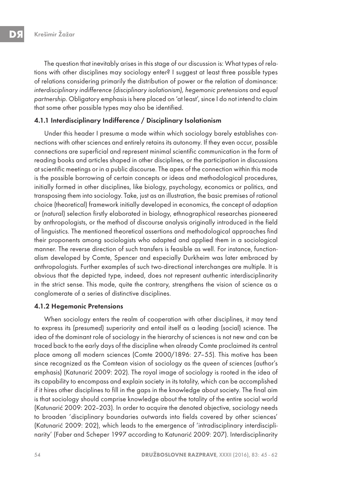The question that inevitably arises in this stage of our discussion is: What types of relations with other disciplines may sociology enter? I suggest at least three possible types of relations considering primarily the distribution of power or the relation of dominance: interdisciplinary indifference (disciplinary isolationism), hegemonic pretensions and equal partnership. Obligatory emphasis is here placed on 'at least', since I do not intend to claim that some other possible types may also be identified.

#### 4.1.1 Interdisciplinary Indifference / Disciplinary Isolationism

Under this header I presume a mode within which sociology barely establishes connections with other sciences and entirely retains its autonomy. If they even occur, possible connections are superficial and represent minimal scientific communication in the form of reading books and articles shaped in other disciplines, or the participation in discussions at scientific meetings or in a public discourse. The apex of the connection within this mode is the possible borrowing of certain concepts or ideas and methodological procedures, initially formed in other disciplines, like biology, psychology, economics or politics, and transposing them into sociology. Take, just as an illustration, the basic premises of rational choice (theoretical) framework initially developed in economics, the concept of adaption or (natural) selection firstly elaborated in biology, ethnographical researches pioneered by anthropologists, or the method of discourse analysis originally introduced in the field of linguistics. The mentioned theoretical assertions and methodological approaches find their proponents among sociologists who adapted and applied them in a sociological manner. The reverse direction of such transfers is feasible as well. For instance, functionalism developed by Comte, Spencer and especially Durkheim was later embraced by anthropologists. Further examples of such two-directional interchanges are multiple. It is obvious that the depicted type, indeed, does not represent authentic interdisciplinarity in the strict sense. This mode, quite the contrary, strengthens the vision of science as a conglomerate of a series of distinctive disciplines.

#### 4.1.2 Hegemonic Pretensions

When sociology enters the realm of cooperation with other disciplines, it may tend to express its (presumed) superiority and entail itself as a leading (social) science. The idea of the dominant role of sociology in the hierarchy of sciences is not new and can be traced back to the early days of the discipline when already Comte proclaimed its central place among all modern sciences (Comte 2000/1896: 27–55). This motive has been since recognized as the Comtean vision of sociology as the queen of sciences (author's emphasis) (Katunarić 2009: 202). The royal image of sociology is rooted in the idea of its capability to encompass and explain society in its totality, which can be accomplished if it hires other disciplines to fill in the gaps in the knowledge about society. The final aim is that sociology should comprise knowledge about the totality of the entire social world (Katunarić 2009: 202–203). In order to acquire the denoted objective, sociology needs to broaden 'disciplinary boundaries outwards into fields covered by other sciences' (Katunarić 2009: 202), which leads to the emergence of 'intradisciplinary interdisciplinarity' (Faber and Scheper 1997 according to Katunarić 2009: 207). Interdisciplinarity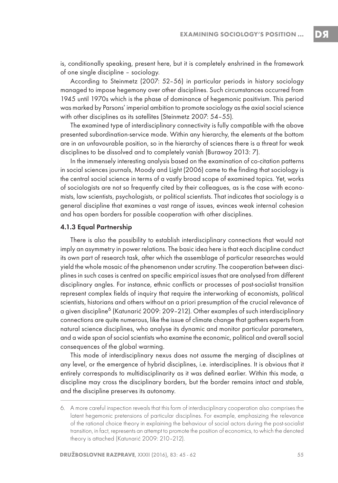DЯ

is, conditionally speaking, present here, but it is completely enshrined in the framework of one single discipline – sociology.

According to Steinmetz (2007: 52–56) in particular periods in history sociology managed to impose hegemony over other disciplines. Such circumstances occurred from 1945 until 1970s which is the phase of dominance of hegemonic positivism. This period was marked by Parsons' imperial ambition to promote sociology as the axial social science with other disciplines as its satellites (Steinmetz 2007: 54–55).

The examined type of interdisciplinary connectivity is fully compatible with the above presented subordination-service mode. Within any hierarchy, the elements at the bottom are in an unfavourable position, so in the hierarchy of sciences there is a threat for weak disciplines to be dissolved and to completely vanish (Burawoy 2013: 7).

In the immensely interesting analysis based on the examination of co-citation patterns in social sciences journals, Moody and Light (2006) came to the finding that sociology is the central social science in terms of a vastly broad scope of examined topics. Yet, works of sociologists are not so frequently cited by their colleagues, as is the case with economists, law scientists, psychologists, or political scientists. That indicates that sociology is a general discipline that examines a vast range of issues, evinces weak internal cohesion and has open borders for possible cooperation with other disciplines.

#### 4.1.3 Equal Partnership

There is also the possibility to establish interdisciplinary connections that would not imply an asymmetry in power relations. The basic idea here is that each discipline conduct its own part of research task, after which the assemblage of particular researches would yield the whole mosaic of the phenomenon under scrutiny. The cooperation between disciplines in such cases is centred on specific empirical issues that are analysed from different disciplinary angles. For instance, ethnic conflicts or processes of post-socialist transition represent complex fields of inquiry that require the interworking of economists, political scientists, historians and others without an a priori presumption of the crucial relevance of a given discipline6 (Katunarić 2009: 209–212). Other examples of such interdisciplinary connections are quite numerous, like the issue of climate change that gathers experts from natural science disciplines, who analyse its dynamic and monitor particular parameters, and a wide span of social scientists who examine the economic, political and overall social consequences of the global warming.

This mode of interdisciplinary nexus does not assume the merging of disciplines at any level, or the emergence of hybrid disciplines, i.e. interdisciplines. It is obvious that it entirely corresponds to multidisciplinarity as it was defined earlier. Within this mode, a discipline may cross the disciplinary borders, but the border remains intact and stable, and the discipline preserves its autonomy.

<sup>6.</sup> A more careful inspection reveals that this form of interdisciplinary cooperation also comprises the latent hegemonic pretensions of particular disciplines. For example, emphasizing the relevance of the rational choice theory in explaining the behaviour of social actors during the post-socialist transition, in fact, represents an attempt to promote the position of economics, to which the denoted theory is attached (Katunarić 2009: 210–212).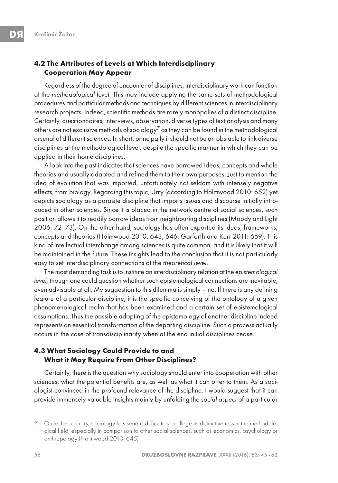## **4.2 The Attributes of Levels at Which Interdisciplinary Cooperation May Appear**

Regardless of the degree of encounter of disciplines, interdisciplinary work can function at the methodological level. This may include applying the same sets of methodological procedures and particular methods and techniques by different sciences in interdisciplinary research projects. Indeed, scientific methods are rarely monopolies of a distinct discipline. Certainly, questionnaires, interviews, observation, diverse types of text analysis and many others are not exclusive methods of sociology<sup>7</sup> as they can be found in the methodological arsenal of different sciences. In short, principally it should not be an obstacle to link diverse disciplines at the methodological level, despite the specific manner in which they can be applied in their home disciplines.

A look into the past indicates that sciences have borrowed ideas, concepts and whole theories and usually adapted and refined them to their own purposes. Just to mention the idea of evolution that was imported, unfortunately not seldom with intensely negative effects, from biology. Regarding this topic, Urry (according to Holmwood 2010: 652) yet depicts sociology as a parasite discipline that imports issues and discourse initially introduced in other sciences. Since it is placed in the network centre of social sciences, such position allows it to readily borrow ideas from neighbouring disciplines (Moody and Light 2006: 72–73). On the other hand, sociology has often exported its ideas, frameworks, concepts and theories (Holmwood 2010: 643, 646; Garforth and Kerr 2011: 659). This kind of intellectual interchange among sciences is quite common, and it is likely that it will be maintained in the future. These insights lead to the conclusion that it is not particularly easy to set interdisciplinary connections at the theoretical level.

The most demanding task is to institute an interdisciplinary relation at the epistemological level, though one could question whether such epistemological connections are inevitable, even advisable at all. My suggestion to this dilemma is simply – no. If there is any defining feature of a particular discipline, it is the specific conceiving of the ontology of a given phenomenological realm that has been examined and a certain set of epistemological assumptions. Thus the possible adopting of the epistemology of another discipline indeed represents an essential transformation of the departing discipline. Such a process actually occurs in the case of transdisciplinarity when at the end initial disciplines cease.

## **4.3 What Sociology Could Provide to and What it May Require From Other Disciplines?**

Certainly, there is the question why sociology should enter into cooperation with other sciences, what the potential benefits are, as well as what it can offer to them. As a sociologist convinced in the profound relevance of the discipline, I would suggest that it can provide immensely valuable insights mainly by unfolding the social aspect of a particular

<sup>7.</sup> Quite the contrary, sociology has serious difficulties to allege its distinctiveness in the methodological field, especially in comparison to other social sciences, such as economics, psychology or anthropology (Holmwood 2010: 645).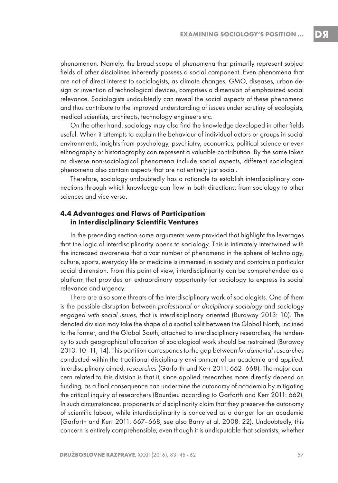phenomenon. Namely, the broad scope of phenomena that primarily represent subject fields of other disciplines inherently possess a social component. Even phenomena that are not of direct interest to sociologists, as climate changes, GMO, diseases, urban design or invention of technological devices, comprises a dimension of emphasized social relevance. Sociologists undoubtedly can reveal the social aspects of these phenomena and thus contribute to the improved understanding of issues under scrutiny of ecologists, medical scientists, architects, technology engineers etc.

On the other hand, sociology may also find the knowledge developed in other fields useful. When it attempts to explain the behaviour of individual actors or groups in social environments, insights from psychology, psychiatry, economics, political science or even ethnography or historiography can represent a valuable contribution. By the same token as diverse non-sociological phenomena include social aspects, different sociological phenomena also contain aspects that are not entirely just social.

Therefore, sociology undoubtedly has a rationale to establish interdisciplinary connections through which knowledge can flow in both directions: from sociology to other sciences and vice versa.

#### **4.4 Advantages and Flaws of Participation in Interdisciplinary Scientific Ventures**

In the preceding section some arguments were provided that highlight the leverages that the logic of interdisciplinarity opens to sociology. This is intimately intertwined with the increased awareness that a vast number of phenomena in the sphere of technology, culture, sports, everyday life or medicine is immersed in society and contains a particular social dimension. From this point of view, interdisciplinarity can be comprehended as a platform that provides an extraordinary opportunity for sociology to express its social relevance and urgency.

There are also some threats of the interdisciplinary work of sociologists. One of them is the possible disruption between professional or disciplinary sociology and sociology engaged with social issues, that is interdisciplinary oriented (Burawoy 2013: 10). The denoted division may take the shape of a spatial split between the Global North, inclined to the former, and the Global South, attached to interdisciplinary researches; the tendency to such geographical allocation of sociological work should be restrained (Burawoy 2013: 10–11, 14). This partition corresponds to the gap between fundamental researches conducted within the traditional disciplinary environment of an academia and applied, interdisciplinary aimed, researches (Garforth and Kerr 2011: 662–668). The major concern related to this division is that it, since applied researches more directly depend on funding, as a final consequence can undermine the autonomy of academia by mitigating the critical inquiry of researchers (Bourdieu according to Garforth and Kerr 2011: 662). In such circumstances, proponents of disciplinarity claim that they preserve the autonomy of scientific labour, while interdisciplinarity is conceived as a danger for an academia (Garforth and Kerr 2011: 667–668; see also Barry et al. 2008: 22). Undoubtedly, this concern is entirely comprehensible, even though it is undisputable that scientists, whether DЯ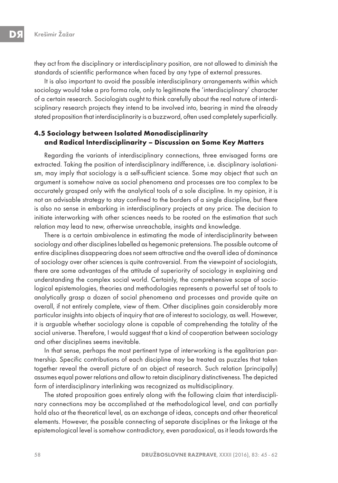they act from the disciplinary or interdisciplinary position, are not allowed to diminish the standards of scientific performance when faced by any type of external pressures.

It is also important to avoid the possible interdisciplinary arrangements within which sociology would take a pro forma role, only to legitimate the 'interdisciplinary' character of a certain research. Sociologists ought to think carefully about the real nature of interdisciplinary research projects they intend to be involved into, bearing in mind the already stated proposition that interdisciplinarity is a buzzword, often used completely superficially.

### **4.5 Sociology between Isolated Monodisciplinarity and Radical Interdisciplinarity – Discussion on Some Key Matters**

Regarding the variants of interdisciplinary connections, three envisaged forms are extracted. Taking the position of interdisciplinary indifference, i.e. disciplinary isolationism, may imply that sociology is a self-sufficient science. Some may object that such an argument is somehow naive as social phenomena and processes are too complex to be accurately grasped only with the analytical tools of a sole discipline. In my opinion, it is not an advisable strategy to stay confined to the borders of a single discipline, but there is also no sense in embarking in interdisciplinary projects at any price. The decision to initiate interworking with other sciences needs to be rooted on the estimation that such relation may lead to new, otherwise unreachable, insights and knowledge.

There is a certain ambivalence in estimating the mode of interdisciplinarity between sociology and other disciplines labelled as hegemonic pretensions. The possible outcome of entire disciplines disappearing does not seem attractive and the overall idea of dominance of sociology over other sciences is quite controversial. From the viewpoint of sociologists, there are some advantages of the attitude of superiority of sociology in explaining and understanding the complex social world. Certainly, the comprehensive scope of sociological epistemologies, theories and methodologies represents a powerful set of tools to analytically grasp a dozen of social phenomena and processes and provide quite an overall, if not entirely complete, view of them. Other disciplines gain considerably more particular insights into objects of inquiry that are of interest to sociology, as well. However, it is arguable whether sociology alone is capable of comprehending the totality of the social universe. Therefore, I would suggest that a kind of cooperation between sociology and other disciplines seems inevitable.

In that sense, perhaps the most pertinent type of interworking is the egalitarian partnership. Specific contributions of each discipline may be treated as puzzles that taken together reveal the overall picture of an object of research. Such relation (principally) assumes equal power relations and allow to retain disciplinary distinctiveness. The depicted form of interdisciplinary interlinking was recognized as multidisciplinary.

The stated proposition goes entirely along with the following claim that interdisciplinary connections may be accomplished at the methodological level, and can partially hold also at the theoretical level, as an exchange of ideas, concepts and other theoretical elements. However, the possible connecting of separate disciplines or the linkage at the epistemological level is somehow contradictory, even paradoxical, as it leads towards the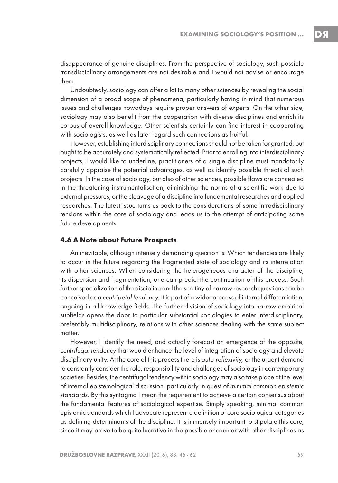disappearance of genuine disciplines. From the perspective of sociology, such possible transdisciplinary arrangements are not desirable and I would not advise or encourage them.

Undoubtedly, sociology can offer a lot to many other sciences by revealing the social dimension of a broad scope of phenomena, particularly having in mind that numerous issues and challenges nowadays require proper answers of experts. On the other side, sociology may also benefit from the cooperation with diverse disciplines and enrich its corpus of overall knowledge. Other scientists certainly can find interest in cooperating with sociologists, as well as later regard such connections as fruitful.

However, establishing interdisciplinary connections should not be taken for granted, but ought to be accurately and systematically reflected. Prior to enrolling into interdisciplinary projects, I would like to underline, practitioners of a single discipline must mandatorily carefully appraise the potential advantages, as well as identify possible threats of such projects. In the case of sociology, but also of other sciences, possible flaws are concealed in the threatening instrumentalisation, diminishing the norms of a scientific work due to external pressures, or the cleavage of a discipline into fundamental researches and applied researches. The latest issue turns us back to the considerations of some intradisciplinary tensions within the core of sociology and leads us to the attempt of anticipating some future developments.

#### **4.6 A Note about Future Prospects**

An inevitable, although intensely demanding question is: Which tendencies are likely to occur in the future regarding the fragmented state of sociology and its interrelation with other sciences. When considering the heterogeneous character of the discipline, its dispersion and fragmentation, one can predict the continuation of this process. Such further specialization of the discipline and the scrutiny of narrow research questions can be conceived as a centripetal tendency. It is part of a wider process of internal differentiation, ongoing in all knowledge fields. The further division of sociology into narrow empirical subfields opens the door to particular substantial sociologies to enter interdisciplinary, preferably multidisciplinary, relations with other sciences dealing with the same subject matter.

However, I identify the need, and actually forecast an emergence of the opposite, centrifugal tendency that would enhance the level of integration of sociology and elevate disciplinary unity. At the core of this process there is auto-reflexivity, or the urgent demand to constantly consider the role, responsibility and challenges of sociology in contemporary societies. Besides, the centrifugal tendency within sociology may also take place at the level of internal epistemological discussion, particularly in quest of minimal common epistemic standards. By this syntagma I mean the requirement to achieve a certain consensus about the fundamental features of sociological expertise. Simply speaking, minimal common epistemic standards which I advocate represent a definition of core sociological categories as defining determinants of the discipline. It is immensely important to stipulate this core, since it may prove to be quite lucrative in the possible encounter with other disciplines as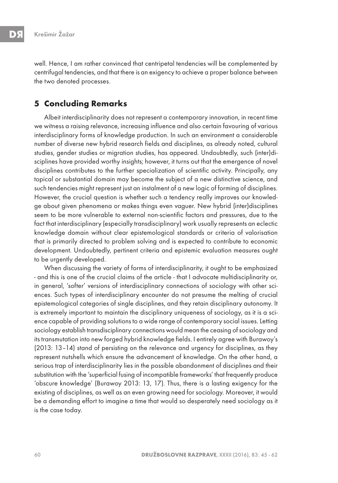well. Hence, I am rather convinced that centripetal tendencies will be complemented by centrifugal tendencies, and that there is an exigency to achieve a proper balance between the two denoted processes.

## **5 Concluding Remarks**

Albeit interdisciplinarity does not represent a contemporary innovation, in recent time we witness a raising relevance, increasing influence and also certain favouring of various interdisciplinary forms of knowledge production. In such an environment a considerable number of diverse new hybrid research fields and disciplines, as already noted, cultural studies, gender studies or migration studies, has appeared. Undoubtedly, such (inter)disciplines have provided worthy insights; however, it turns out that the emergence of novel disciplines contributes to the further specialization of scientific activity. Principally, any topical or substantial domain may become the subject of a new distinctive science, and such tendencies might represent just an instalment of a new logic of forming of disciplines. However, the crucial question is whether such a tendency really improves our knowledge about given phenomena or makes things even vaguer. New hybrid (inter)disciplines seem to be more vulnerable to external non-scientific factors and pressures, due to the fact that interdisciplinary (especially transdisciplinary) work usually represents an eclectic knowledge domain without clear epistemological standards or criteria of valorisation that is primarily directed to problem solving and is expected to contribute to economic development. Undoubtedly, pertinent criteria and epistemic evaluation measures ought to be urgently developed.

When discussing the variety of forms of interdisciplinarity, it ought to be emphasized - and this is one of the crucial claims of the article - that I advocate multidisciplinarity or, in general, 'softer' versions of interdisciplinary connections of sociology with other sciences. Such types of interdisciplinary encounter do not presume the melting of crucial epistemological categories of single disciplines, and they retain disciplinary autonomy. It is extremely important to maintain the disciplinary uniqueness of sociology, as it is a science capable of providing solutions to a wide range of contemporary social issues. Letting sociology establish transdisciplinary connections would mean the ceasing of sociology and its transmutation into new forged hybrid knowledge fields. I entirely agree with Burawoy's (2013: 13–14) stand of persisting on the relevance and urgency for disciplines, as they represent nutshells which ensure the advancement of knowledge. On the other hand, a serious trap of interdisciplinarity lies in the possible abandonment of disciplines and their substitution with the 'superficial fusing of incompatible frameworks' that frequently produce 'obscure knowledge' (Burawoy 2013: 13, 17). Thus, there is a lasting exigency for the existing of disciplines, as well as an even growing need for sociology. Moreover, it would be a demanding effort to imagine a time that would so desperately need sociology as it is the case today.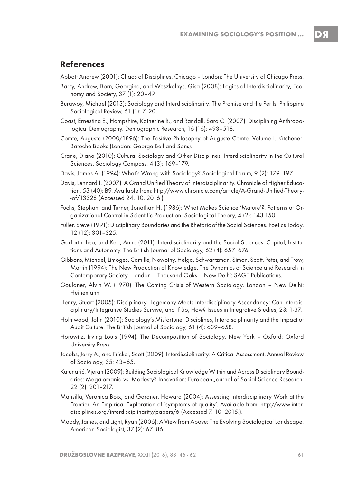DЯ

## **References**

Abbott Andrew (2001): Chaos of Disciplines. Chicago – London: The University of Chicago Press.

- Barry, Andrew, Born, Georgina, and Weszkalnys, Gisa (2008): Logics of Interdisciplinarity, Economy and Society, 37 (1): 20–49.
- Burawoy, Michael (2013): Sociology and Interdisciplinarity: The Promise and the Perils. Philippine Sociological Review, 61 (1): 7–20.
- Coast, Ernestina E., Hampshire, Katherine R., and Randall, Sara C. (2007): Disciplining Anthropological Demography. Demographic Research, 16 (16): 493–518.
- Comte, Auguste (2000/1896): The Positive Philosophy of Auguste Comte. Volume I. Kitchener: Batoche Books (London: George Bell and Sons).
- Crane, Diana (2010): Cultural Sociology and Other Disciplines: Interdisciplinarity in the Cultural Sciences. Sociology Compass, 4 (3): 169–179.
- Davis, James A. (1994): What's Wrong with Sociology? Sociological Forum, 9 (2): 179–197.
- Davis, Lennard J. (2007): A Grand Unified Theory of Interdisciplinarity. Chronicle of Higher Education, 53 (40): B9. Available from: http://www.chronicle.com/article/A-Grand-Unified-Theory- -of/13328 (Accessed 24. 10. 2016.).
- Fuchs, Stephan, and Turner, Jonathan H. (1986): What Makes Science 'Mature'?: Patterns of Organizational Control in Scientific Production. Sociological Theory, 4 (2): 143-150.
- Fuller, Steve (1991): Disciplinary Boundaries and the Rhetoric of the Social Sciences. Poetics Today, 12 (12): 301–325.
- Garforth, Lisa, and Kerr, Anne (2011): Interdisciplinarity and the Social Sciences: Capital, Institutions and Autonomy. The British Journal of Sociology, 62 (4): 657–676.
- Gibbons, Michael, Limoges, Camille, Nowotny, Helga, Schwartzman, Simon, Scott, Peter, and Trow, Martin (1994): The New Production of Knowledge. The Dynamics of Science and Research in Contemporary Society. London – Thousand Oaks – New Delhi: SAGE Publications.
- Gouldner, Alvin W. (1970): The Coming Crisis of Western Sociology. London New Delhi: Heinemann.
- Henry, Stuart (2005): Disciplinary Hegemony Meets Interdisciplinary Ascendancy: Can Interdisciplinary/Integrative Studies Survive, and If So, How? Issues in Integrative Studies, 23: 1-37.
- Holmwood, John (2010): Sociology's Misfortune: Disciplines, Interdisciplinarity and the Impact of Audit Culture. The British Journal of Sociology, 61 (4): 639–658.
- Horowitz, Irving Louis (1994): The Decomposition of Sociology. New York Oxford: Oxford University Press.
- Jacobs, Jerry A., and Frickel, Scott (2009): Interdisciplinarity: A Critical Assessment. Annual Review of Sociology, 35: 43–65.
- Katunarić, Vjeran (2009): Building Sociological Knowledge Within and Across Disciplinary Boundaries: Megalomania vs. Modesty? Innovation: European Journal of Social Science Research, 22 (2): 201–217.
- Mansilla, Veronica Boix, and Gardner, Howard (2004): Assessing Interdisciplinary Work at the Frontier. An Empirical Exploration of 'symptoms of quality'. Available from: http://www.interdisciplines.org/interdisciplinarity/papers/6 (Accessed 7. 10. 2015.).
- Moody, James, and Light, Ryan (2006): A View from Above: The Evolving Sociological Landscape. American Sociologist, 37 (2): 67–86.